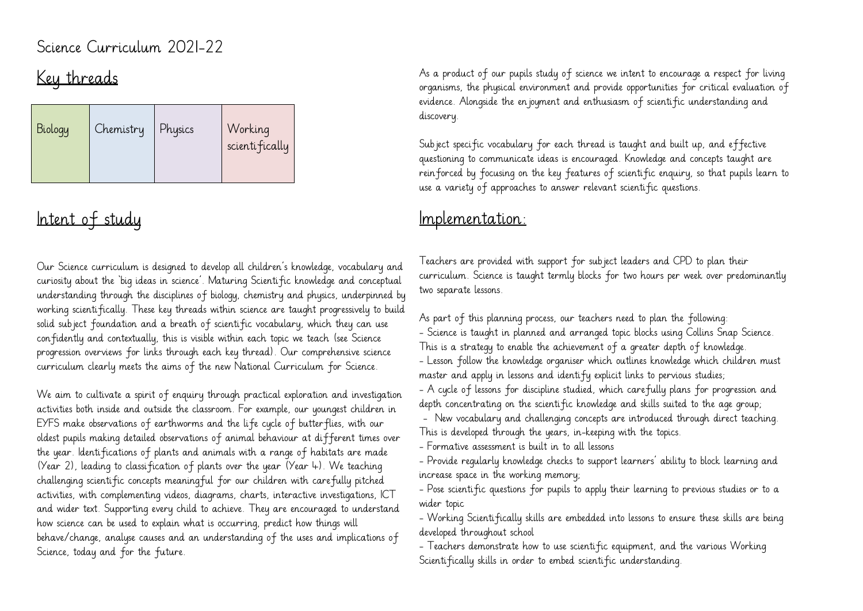#### Science Curriculum 2021-22

# Key threads

| Biology | Chemistry | Physics | Working<br>scienti fically |  |
|---------|-----------|---------|----------------------------|--|
|---------|-----------|---------|----------------------------|--|

### Intent of study

Our Science curriculum is designed to develop all children's knowledge, vocabulary and curiosity about the 'big ideas in science'. Maturing Scientific knowledge and conceptual understanding through the disciplines of biology, chemistry and physics, underpinned by working scientifically. These key threads within science are taught progressively to build solid subject foundation and a breath of scientific vocabulary, which they can use confidently and contextually, this is visible within each topic we teach (see Science progression overviews for links through each key thread). Our comprehensive science curriculum clearly meets the aims of the new National Curriculum for Science.

We aim to cultivate a spirit of enquiry through practical exploration and investigation activities both inside and outside the classroom. For example, our youngest children in EYFS make observations of earthworms and the life cycle of butterflies, with our oldest pupils making detailed observations of animal behaviour at different times over the year. Identifications of plants and animals with a range of habitats are made (Year 2), leading to classification of plants over the year (Year 4). We teaching challenging scientific concepts meaningful for our children with carefully pitched activities, with complementing videos, diagrams, charts, interactive investigations, ICT and wider text. Supporting every child to achieve. They are encouraged to understand how science can be used to explain what is occurring, predict how things will behave/change, analyse causes and an understanding of the uses and implications of Science, today and for the future.

As a product of our pupils study of science we intent to encourage a respect for living organisms, the physical environment and provide opportunities for critical evaluation of evidence. Alongside the enjoyment and enthusiasm of scientific understanding and discovery.

Subject specific vocabulary for each thread is taught and built up, and effective questioning to communicate ideas is encouraged. Knowledge and concepts taught are reinforced by focusing on the key features of scientific enquiry, so that pupils learn to use a variety of approaches to answer relevant scientific questions.

#### Implementation:

Teachers are provided with support for subject leaders and CPD to plan their curriculum. Science is taught termly blocks for two hours per week over predominantly two separate lessons.

As part of this planning process, our teachers need to plan the following: - Science is taught in planned and arranged topic blocks using Collins Snap Science. This is a strategy to enable the achievement of a greater depth of knowledge. - Lesson follow the knowledge organiser which outlines knowledge which children must master and apply in lessons and identify explicit links to pervious studies;

- A cycle of lessons for discipline studied, which carefully plans for progression and depth concentrating on the scientific knowledge and skills suited to the age group;

- New vocabulary and challenging concepts are introduced through direct teaching. This is developed through the years, in-keeping with the topics.

- Formative assessment is built in to all lessons

- Provide regularly knowledge checks to support learners' ability to block learning and increase space in the working memory;

- Pose scientific questions for pupils to apply their learning to previous studies or to a wider topic

- Working Scientifically skills are embedded into lessons to ensure these skills are being developed throughout school

- Teachers demonstrate how to use scientific equipment, and the various Working Scientifically skills in order to embed scientific understanding.